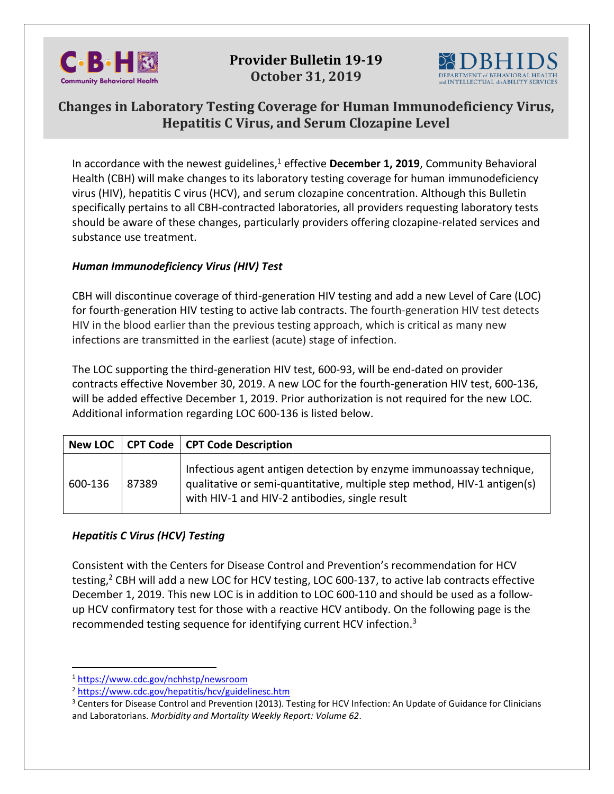

**Provider Bulletin 19-19 October 31, 2019**



# **Changes in Laboratory Testing Coverage for Human Immunodeficiency Virus, Hepatitis C Virus, and Serum Clozapine Level**

In accordance with the newest guidelines,<sup>1</sup> effective **December 1, 2019**, Community Behavioral Health (CBH) will make changes to its laboratory testing coverage for human immunodeficiency virus (HIV), hepatitis C virus (HCV), and serum clozapine concentration. Although this Bulletin specifically pertains to all CBH-contracted laboratories, all providers requesting laboratory tests should be aware of these changes, particularly providers offering clozapine-related services and substance use treatment.

## *Human Immunodeficiency Virus (HIV) Test*

CBH will discontinue coverage of third-generation HIV testing and add a new Level of Care (LOC) for fourth-generation HIV testing to active lab contracts. The fourth-generation HIV test detects HIV in the blood earlier than the previous testing approach, which is critical as many new infections are transmitted in the earliest (acute) stage of infection.

The LOC supporting the third-generation HIV test, 600-93, will be end-dated on provider contracts effective November 30, 2019. A new LOC for the fourth-generation HIV test, 600-136, will be added effective December 1, 2019. Prior authorization is not required for the new LOC. Additional information regarding LOC 600-136 is listed below.

|         |       | New LOC   CPT Code   CPT Code Description                                                                                                                                                         |
|---------|-------|---------------------------------------------------------------------------------------------------------------------------------------------------------------------------------------------------|
| 600-136 | 87389 | Infectious agent antigen detection by enzyme immunoassay technique,<br>qualitative or semi-quantitative, multiple step method, HIV-1 antigen(s)<br>with HIV-1 and HIV-2 antibodies, single result |

# *Hepatitis C Virus (HCV) Testing*

Consistent with the Centers for Disease Control and Prevention's recommendation for HCV testing,<sup>2</sup> CBH will add a new LOC for HCV testing, LOC 600-137, to active lab contracts effective December 1, 2019. This new LOC is in addition to LOC 600-110 and should be used as a followup HCV confirmatory test for those with a reactive HCV antibody. On the following page is the recommended testing sequence for identifying current HCV infection.<sup>3</sup>

l

<sup>1</sup> [https://www.cdc.gov/nchhstp/newsroom](https://www.cdc.gov/nchhstp/newsroom%20m) 

<sup>2</sup> <https://www.cdc.gov/hepatitis/hcv/guidelinesc.htm>

<sup>&</sup>lt;sup>3</sup> Centers for Disease Control and Prevention (2013). Testing for HCV Infection: An Update of Guidance for Clinicians and Laboratorians. *Morbidity and Mortality Weekly Report: Volume 62*.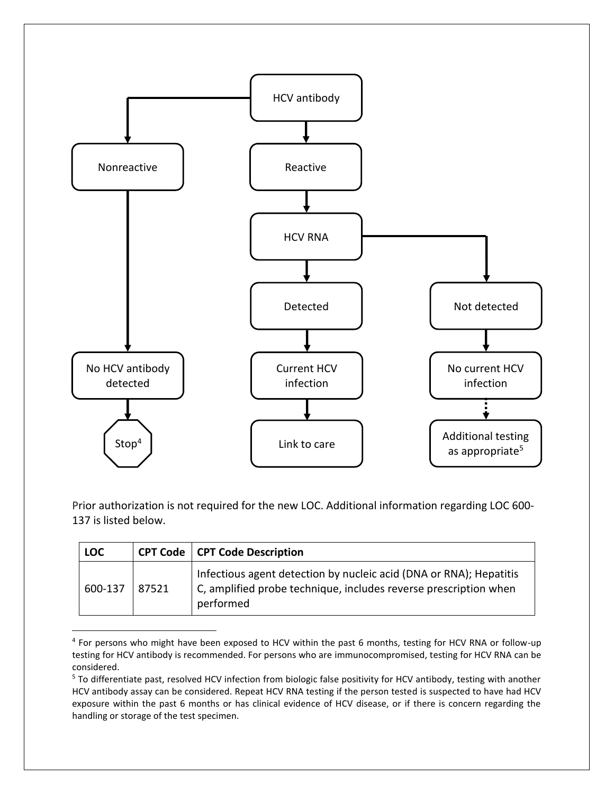

Prior authorization is not required for the new LOC. Additional information regarding LOC 600- 137 is listed below.

| <b>LOC</b> |       | <b>CPT Code   CPT Code Description</b>                                                                                                              |
|------------|-------|-----------------------------------------------------------------------------------------------------------------------------------------------------|
| 600-137    | 87521 | Infectious agent detection by nucleic acid (DNA or RNA); Hepatitis<br>C, amplified probe technique, includes reverse prescription when<br>performed |

<sup>&</sup>lt;sup>4</sup> For persons who might have been exposed to HCV within the past 6 months, testing for HCV RNA or follow-up testing for HCV antibody is recommended. For persons who are immunocompromised, testing for HCV RNA can be considered.

 $\overline{\phantom{a}}$ 

<sup>&</sup>lt;sup>5</sup> To differentiate past, resolved HCV infection from biologic false positivity for HCV antibody, testing with another HCV antibody assay can be considered. Repeat HCV RNA testing if the person tested is suspected to have had HCV exposure within the past 6 months or has clinical evidence of HCV disease, or if there is concern regarding the handling or storage of the test specimen.